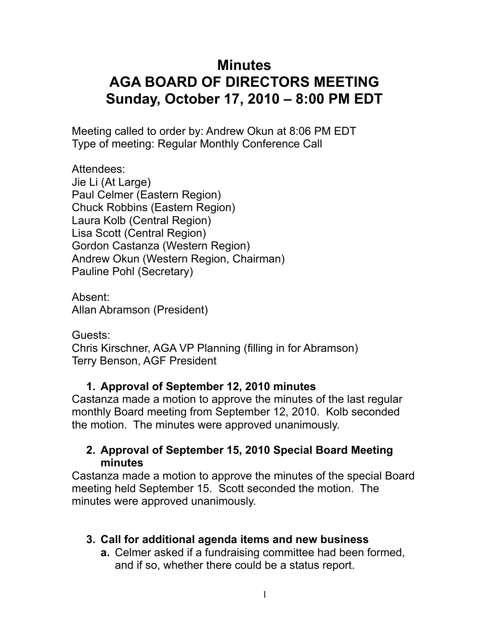# **Minutes AGA BOARD OF DIRECTORS MEETING Sunday, October 17, 2010 – 8:00 PM EDT**

Meeting called to order by: Andrew Okun at 8:06 PM EDT Type of meeting: Regular Monthly Conference Call

Attendees: Jie Li (At Large) Paul Celmer (Eastern Region) Chuck Robbins (Eastern Region) Laura Kolb (Central Region) Lisa Scott (Central Region) Gordon Castanza (Western Region) Andrew Okun (Western Region, Chairman) Pauline Pohl (Secretary)

Absent: Allan Abramson (President)

Guests: Chris Kirschner, AGA VP Planning (filling in for Abramson) Terry Benson, AGF President

## **1. Approval of September 12, 2010 minutes**

Castanza made a motion to approve the minutes of the last regular monthly Board meeting from September 12, 2010. Kolb seconded the motion. The minutes were approved unanimously.

#### **2. Approval of September 15, 2010 Special Board Meeting minutes**

Castanza made a motion to approve the minutes of the special Board meeting held September 15. Scott seconded the motion. The minutes were approved unanimously.

# **3. Call for additional agenda items and new business**

**a.** Celmer asked if a fundraising committee had been formed, and if so, whether there could be a status report.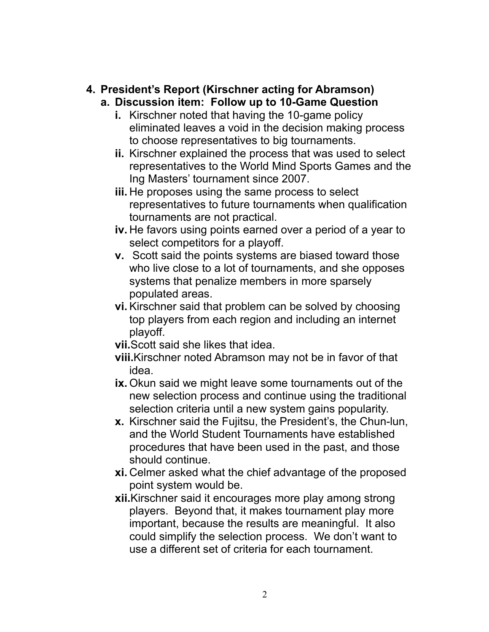# **4. President's Report (Kirschner acting for Abramson)**

- **a. Discussion item: Follow up to 10-Game Question**
	- **i.** Kirschner noted that having the 10-game policy eliminated leaves a void in the decision making process to choose representatives to big tournaments.
	- **ii.** Kirschner explained the process that was used to select representatives to the World Mind Sports Games and the Ing Masters' tournament since 2007.
	- **iii.** He proposes using the same process to select representatives to future tournaments when qualification tournaments are not practical.
	- **iv.** He favors using points earned over a period of a year to select competitors for a playoff.
	- **v.** Scott said the points systems are biased toward those who live close to a lot of tournaments, and she opposes systems that penalize members in more sparsely populated areas.
	- **vi.** Kirschner said that problem can be solved by choosing top players from each region and including an internet playoff.
	- **vii.**Scott said she likes that idea.
	- **viii.**Kirschner noted Abramson may not be in favor of that idea.
	- **ix.** Okun said we might leave some tournaments out of the new selection process and continue using the traditional selection criteria until a new system gains popularity.
	- **x.** Kirschner said the Fujitsu, the President's, the Chun-lun, and the World Student Tournaments have established procedures that have been used in the past, and those should continue.
	- **xi.** Celmer asked what the chief advantage of the proposed point system would be.
	- **xii.**Kirschner said it encourages more play among strong players. Beyond that, it makes tournament play more important, because the results are meaningful. It also could simplify the selection process. We don't want to use a different set of criteria for each tournament.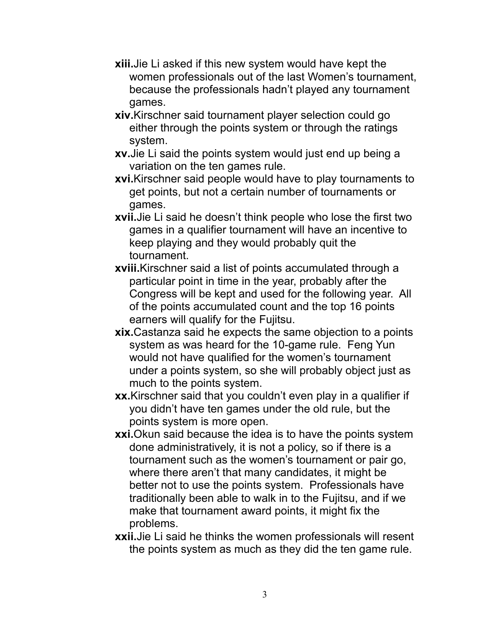- **xiii.**Jie Li asked if this new system would have kept the women professionals out of the last Women's tournament, because the professionals hadn't played any tournament games.
- **xiv.**Kirschner said tournament player selection could go either through the points system or through the ratings system.
- **xv.**Jie Li said the points system would just end up being a variation on the ten games rule.
- **xvi.**Kirschner said people would have to play tournaments to get points, but not a certain number of tournaments or games.
- **xvii.**Jie Li said he doesn't think people who lose the first two games in a qualifier tournament will have an incentive to keep playing and they would probably quit the tournament.
- **xviii.**Kirschner said a list of points accumulated through a particular point in time in the year, probably after the Congress will be kept and used for the following year. All of the points accumulated count and the top 16 points earners will qualify for the Fujitsu.
- **xix.**Castanza said he expects the same objection to a points system as was heard for the 10-game rule. Feng Yun would not have qualified for the women's tournament under a points system, so she will probably object just as much to the points system.
- **xx.**Kirschner said that you couldn't even play in a qualifier if you didn't have ten games under the old rule, but the points system is more open.
- **xxi.**Okun said because the idea is to have the points system done administratively, it is not a policy, so if there is a tournament such as the women's tournament or pair go, where there aren't that many candidates, it might be better not to use the points system. Professionals have traditionally been able to walk in to the Fujitsu, and if we make that tournament award points, it might fix the problems.
- **xxii.**Jie Li said he thinks the women professionals will resent the points system as much as they did the ten game rule.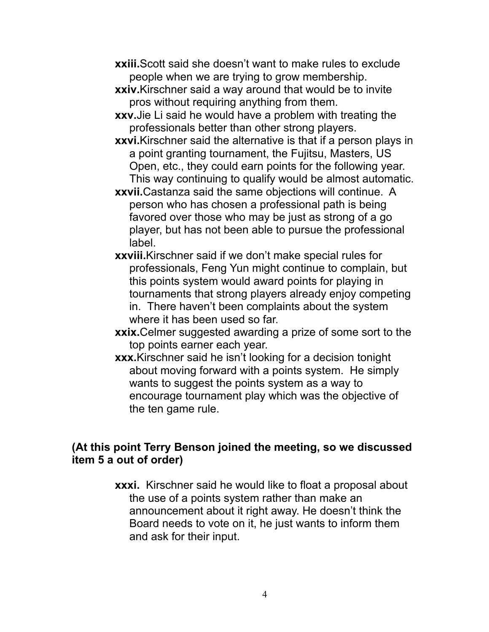- **xxiii.** Scott said she doesn't want to make rules to exclude people when we are trying to grow membership.
- **xxiv.**Kirschner said a way around that would be to invite pros without requiring anything from them.
- **xxv.**Jie Li said he would have a problem with treating the professionals better than other strong players.
- **xxvi.**Kirschner said the alternative is that if a person plays in a point granting tournament, the Fujitsu, Masters, US Open, etc., they could earn points for the following year. This way continuing to qualify would be almost automatic.
- **xxvii.**Castanza said the same objections will continue. A person who has chosen a professional path is being favored over those who may be just as strong of a go player, but has not been able to pursue the professional label.
- **xxviii.**Kirschner said if we don't make special rules for professionals, Feng Yun might continue to complain, but this points system would award points for playing in tournaments that strong players already enjoy competing in. There haven't been complaints about the system where it has been used so far.
- **xxix.**Celmer suggested awarding a prize of some sort to the top points earner each year.
- **xxx.**Kirschner said he isn't looking for a decision tonight about moving forward with a points system. He simply wants to suggest the points system as a way to encourage tournament play which was the objective of the ten game rule.

#### **(At this point Terry Benson joined the meeting, so we discussed item 5 a out of order)**

**xxxi.** Kirschner said he would like to float a proposal about the use of a points system rather than make an announcement about it right away. He doesn't think the Board needs to vote on it, he just wants to inform them and ask for their input.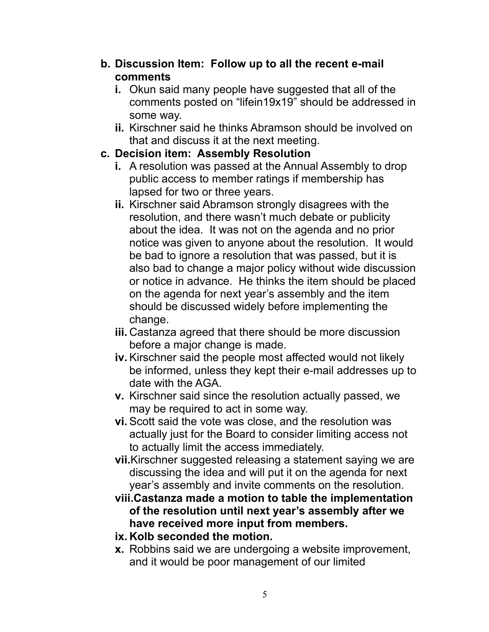- **b. Discussion Item: Follow up to all the recent e-mail comments**
	- **i.** Okun said many people have suggested that all of the comments posted on "lifein19x19" should be addressed in some way.
	- **ii.** Kirschner said he thinks Abramson should be involved on that and discuss it at the next meeting.

## **c. Decision item: Assembly Resolution**

- **i.** A resolution was passed at the Annual Assembly to drop public access to member ratings if membership has lapsed for two or three years.
- **ii.** Kirschner said Abramson strongly disagrees with the resolution, and there wasn't much debate or publicity about the idea. It was not on the agenda and no prior notice was given to anyone about the resolution. It would be bad to ignore a resolution that was passed, but it is also bad to change a major policy without wide discussion or notice in advance. He thinks the item should be placed on the agenda for next year's assembly and the item should be discussed widely before implementing the change.
- **iii.** Castanza agreed that there should be more discussion before a major change is made.
- **iv.** Kirschner said the people most affected would not likely be informed, unless they kept their e-mail addresses up to date with the AGA.
- **v.** Kirschner said since the resolution actually passed, we may be required to act in some way.
- **vi.** Scott said the vote was close, and the resolution was actually just for the Board to consider limiting access not to actually limit the access immediately.
- **vii.**Kirschner suggested releasing a statement saying we are discussing the idea and will put it on the agenda for next year's assembly and invite comments on the resolution.
- **viii.Castanza made a motion to table the implementation of the resolution until next year's assembly after we have received more input from members.**
- **ix. Kolb seconded the motion.**
- **x.** Robbins said we are undergoing a website improvement, and it would be poor management of our limited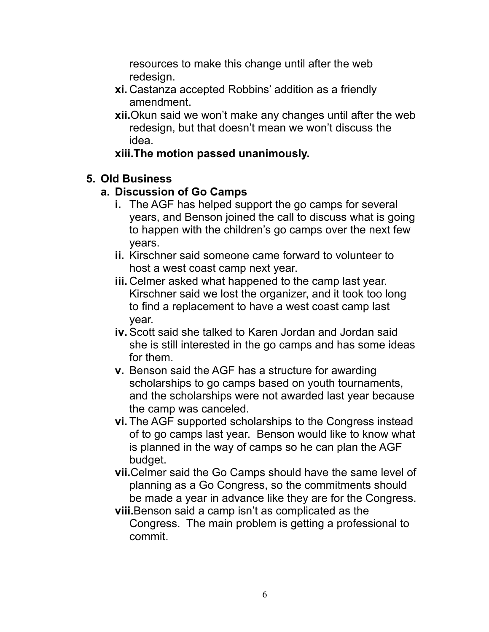resources to make this change until after the web redesign.

- **xi.** Castanza accepted Robbins' addition as a friendly amendment.
- **xii.**Okun said we won't make any changes until after the web redesign, but that doesn't mean we won't discuss the idea.

## **xiii.The motion passed unanimously.**

### **5. Old Business**

### **a. Discussion of Go Camps**

- **i.** The AGF has helped support the go camps for several years, and Benson joined the call to discuss what is going to happen with the children's go camps over the next few years.
- **ii.** Kirschner said someone came forward to volunteer to host a west coast camp next year.
- **iii.** Celmer asked what happened to the camp last year. Kirschner said we lost the organizer, and it took too long to find a replacement to have a west coast camp last year.
- **iv.** Scott said she talked to Karen Jordan and Jordan said she is still interested in the go camps and has some ideas for them.
- **v.** Benson said the AGF has a structure for awarding scholarships to go camps based on youth tournaments, and the scholarships were not awarded last year because the camp was canceled.
- **vi.** The AGF supported scholarships to the Congress instead of to go camps last year. Benson would like to know what is planned in the way of camps so he can plan the AGF budget.
- **vii.**Celmer said the Go Camps should have the same level of planning as a Go Congress, so the commitments should be made a year in advance like they are for the Congress.
- **viii.**Benson said a camp isn't as complicated as the Congress. The main problem is getting a professional to commit.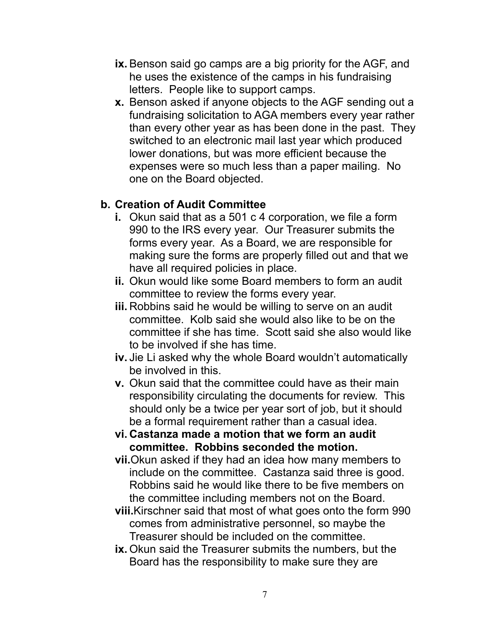- **ix.** Benson said go camps are a big priority for the AGF, and he uses the existence of the camps in his fundraising letters. People like to support camps.
- **x.** Benson asked if anyone objects to the AGF sending out a fundraising solicitation to AGA members every year rather than every other year as has been done in the past. They switched to an electronic mail last year which produced lower donations, but was more efficient because the expenses were so much less than a paper mailing. No one on the Board objected.

### **b. Creation of Audit Committee**

- **i.** Okun said that as a 501 c 4 corporation, we file a form 990 to the IRS every year. Our Treasurer submits the forms every year. As a Board, we are responsible for making sure the forms are properly filled out and that we have all required policies in place.
- **ii.** Okun would like some Board members to form an audit committee to review the forms every year.
- **iii.** Robbins said he would be willing to serve on an audit committee. Kolb said she would also like to be on the committee if she has time. Scott said she also would like to be involved if she has time.
- **iv.** Jie Li asked why the whole Board wouldn't automatically be involved in this.
- **v.** Okun said that the committee could have as their main responsibility circulating the documents for review. This should only be a twice per year sort of job, but it should be a formal requirement rather than a casual idea.
- **vi. Castanza made a motion that we form an audit committee. Robbins seconded the motion.**
- **vii.**Okun asked if they had an idea how many members to include on the committee. Castanza said three is good. Robbins said he would like there to be five members on the committee including members not on the Board.
- **viii.**Kirschner said that most of what goes onto the form 990 comes from administrative personnel, so maybe the Treasurer should be included on the committee.
- **ix.** Okun said the Treasurer submits the numbers, but the Board has the responsibility to make sure they are